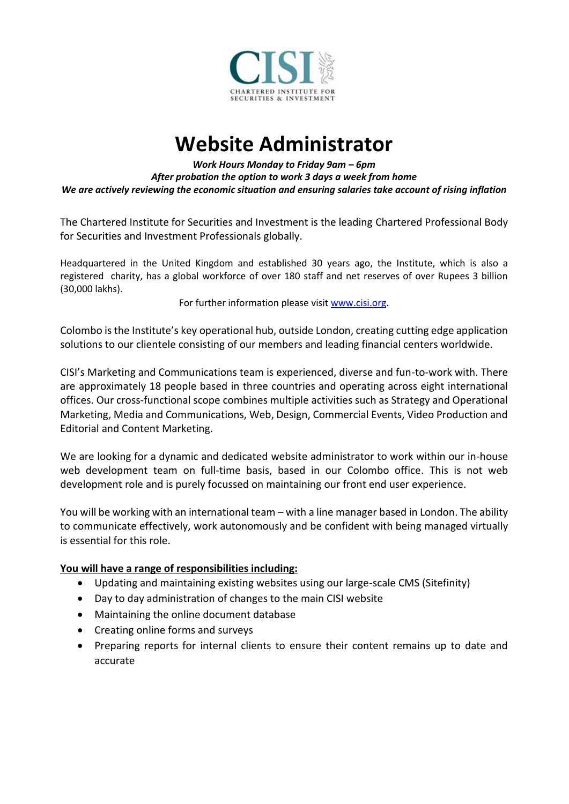

## **Website Administrator**

*Work Hours Monday to Friday 9am – 6pm After probation the option to work 3 days a week from home We are actively reviewing the economic situation and ensuring salaries take account of rising inflation*

The Chartered Institute for Securities and Investment is the leading Chartered Professional Body for Securities and Investment Professionals globally.

Headquartered in the United Kingdom and established 30 years ago, the Institute, which is also a registered charity, has a global workforce of over 180 staff and net reserves of over Rupees 3 billion (30,000 lakhs).

For further information please visit [www.cisi.org](http://www.cisi.org/).

Colombo is the Institute's key operational hub, outside London, creating cutting edge application solutions to our clientele consisting of our members and leading financial centers worldwide.

CISI's Marketing and Communications team is experienced, diverse and fun-to-work with. There are approximately 18 people based in three countries and operating across eight international offices. Our cross-functional scope combines multiple activities such as Strategy and Operational Marketing, Media and Communications, Web, Design, Commercial Events, Video Production and Editorial and Content Marketing.

We are looking for a dynamic and dedicated website administrator to work within our in-house web development team on full-time basis, based in our Colombo office. This is not web development role and is purely focussed on maintaining our front end user experience.

You will be working with an international team – with a line manager based in London. The ability to communicate effectively, work autonomously and be confident with being managed virtually is essential for this role.

## **You will have a range of responsibilities including:**

- Updating and maintaining existing websites using our large-scale CMS (Sitefinity)
- Day to day administration of changes to the main CISI website
- Maintaining the online document database
- Creating online forms and surveys
- Preparing reports for internal clients to ensure their content remains up to date and accurate